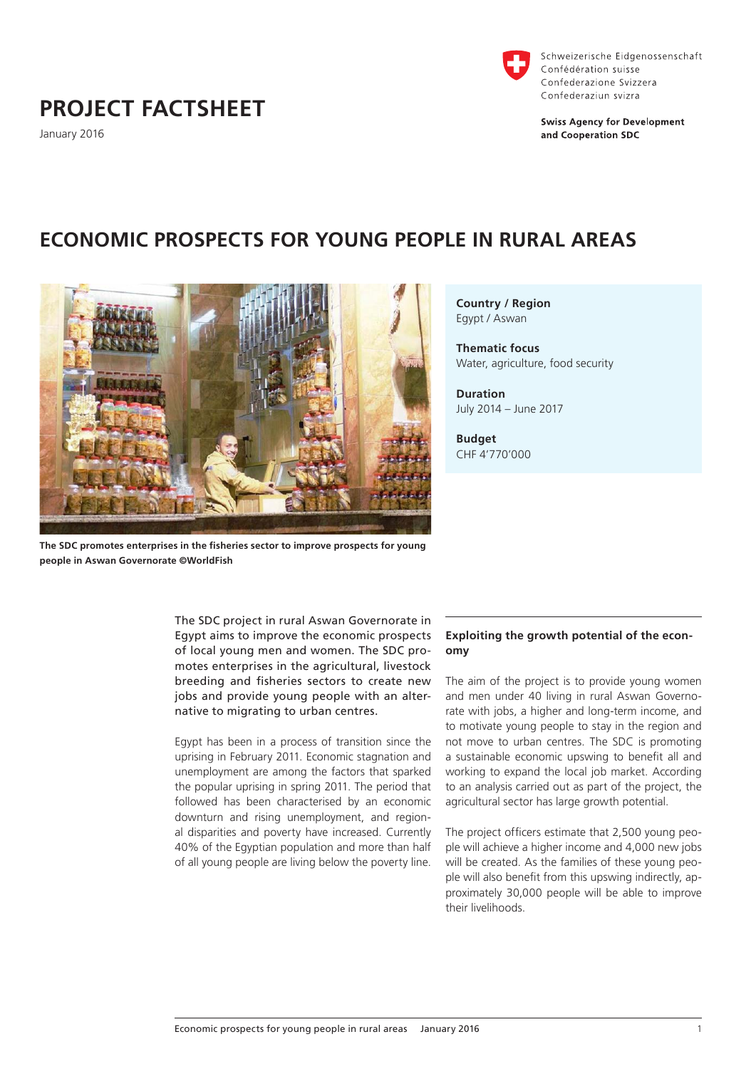# **PROJECT FACTSHEET**

January 2016



Schweizerische Eidgenossenschaft Confédération suisse Confederazione Svizzera Confederaziun svizra

**Swiss Agency for Development** and Cooperation SDC

# **ECONOMIC PROSPECTS FOR YOUNG PEOPLE IN RURAL AREAS**



**Country / Region** Egypt / Aswan

**Thematic focus** Water, agriculture, food security

**Duration** July 2014 – June 2017

**Budget** CHF 4'770'000

**The SDC promotes enterprises in the fisheries sector to improve prospects for young people in Aswan Governorate ©WorldFish**

The SDC project in rural Aswan Governorate in Egypt aims to improve the economic prospects of local young men and women. The SDC promotes enterprises in the agricultural, livestock breeding and fisheries sectors to create new jobs and provide young people with an alternative to migrating to urban centres.

Egypt has been in a process of transition since the uprising in February 2011. Economic stagnation and unemployment are among the factors that sparked the popular uprising in spring 2011. The period that followed has been characterised by an economic downturn and rising unemployment, and regional disparities and poverty have increased. Currently 40% of the Egyptian population and more than half of all young people are living below the poverty line.

## **Exploiting the growth potential of the economy**

The aim of the project is to provide young women and men under 40 living in rural Aswan Governorate with jobs, a higher and long-term income, and to motivate young people to stay in the region and not move to urban centres. The SDC is promoting a sustainable economic upswing to benefit all and working to expand the local job market. According to an analysis carried out as part of the project, the agricultural sector has large growth potential.

The project officers estimate that 2,500 young people will achieve a higher income and 4,000 new jobs will be created. As the families of these young people will also benefit from this upswing indirectly, approximately 30,000 people will be able to improve their livelihoods.